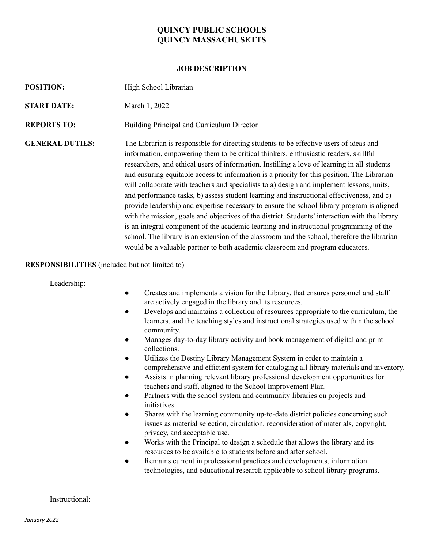## **QUINCY PUBLIC SCHOOLS QUINCY MASSACHUSETTS**

### **JOB DESCRIPTION**

| <b>POSITION:</b>       | High School Librarian                                                                                                                                                                                                                                                                                                                                                                                                                                                                                                                                                                                                                                                                                                                                                                                                                                                                                                                                                                                                                              |
|------------------------|----------------------------------------------------------------------------------------------------------------------------------------------------------------------------------------------------------------------------------------------------------------------------------------------------------------------------------------------------------------------------------------------------------------------------------------------------------------------------------------------------------------------------------------------------------------------------------------------------------------------------------------------------------------------------------------------------------------------------------------------------------------------------------------------------------------------------------------------------------------------------------------------------------------------------------------------------------------------------------------------------------------------------------------------------|
| <b>START DATE:</b>     | March 1, 2022                                                                                                                                                                                                                                                                                                                                                                                                                                                                                                                                                                                                                                                                                                                                                                                                                                                                                                                                                                                                                                      |
| <b>REPORTS TO:</b>     | Building Principal and Curriculum Director                                                                                                                                                                                                                                                                                                                                                                                                                                                                                                                                                                                                                                                                                                                                                                                                                                                                                                                                                                                                         |
| <b>GENERAL DUTIES:</b> | The Librarian is responsible for directing students to be effective users of ideas and<br>information, empowering them to be critical thinkers, enthusiastic readers, skillful<br>researchers, and ethical users of information. Instilling a love of learning in all students<br>and ensuring equitable access to information is a priority for this position. The Librarian<br>will collaborate with teachers and specialists to a) design and implement lessons, units,<br>and performance tasks, b) assess student learning and instructional effectiveness, and c)<br>provide leadership and expertise necessary to ensure the school library program is aligned<br>with the mission, goals and objectives of the district. Students' interaction with the library<br>is an integral component of the academic learning and instructional programming of the<br>school. The library is an extension of the classroom and the school, therefore the librarian<br>would be a valuable partner to both academic classroom and program educators. |

### **RESPONSIBILITIES** (included but not limited to)

Leadership:

- Creates and implements a vision for the Library, that ensures personnel and staff are actively engaged in the library and its resources.
- Develops and maintains a collection of resources appropriate to the curriculum, the learners, and the teaching styles and instructional strategies used within the school community.
- Manages day-to-day library activity and book management of digital and print collections.
- Utilizes the Destiny Library Management System in order to maintain a comprehensive and efficient system for cataloging all library materials and inventory.
- Assists in planning relevant library professional development opportunities for teachers and staff, aligned to the School Improvement Plan.
- Partners with the school system and community libraries on projects and initiatives.
- Shares with the learning community up-to-date district policies concerning such issues as material selection, circulation, reconsideration of materials, copyright, privacy, and acceptable use.
- Works with the Principal to design a schedule that allows the library and its resources to be available to students before and after school.
- Remains current in professional practices and developments, information technologies, and educational research applicable to school library programs.

#### Instructional: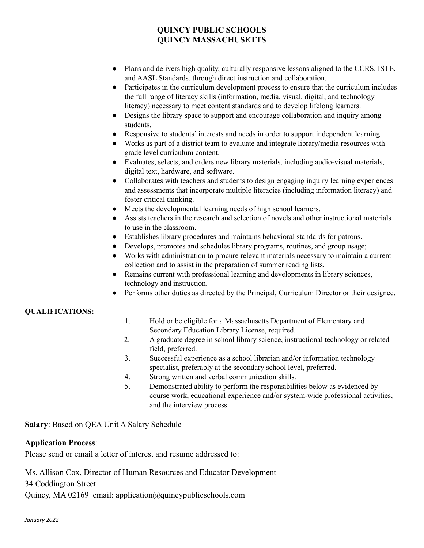# **QUINCY PUBLIC SCHOOLS QUINCY MASSACHUSETTS**

- Plans and delivers high quality, culturally responsive lessons aligned to the CCRS, ISTE, and AASL Standards, through direct instruction and collaboration.
- Participates in the curriculum development process to ensure that the curriculum includes the full range of literacy skills (information, media, visual, digital, and technology literacy) necessary to meet content standards and to develop lifelong learners.
- Designs the library space to support and encourage collaboration and inquiry among students.
- Responsive to students' interests and needs in order to support independent learning.
- Works as part of a district team to evaluate and integrate library/media resources with grade level curriculum content.
- Evaluates, selects, and orders new library materials, including audio-visual materials, digital text, hardware, and software.
- Collaborates with teachers and students to design engaging inquiry learning experiences and assessments that incorporate multiple literacies (including information literacy) and foster critical thinking.
- Meets the developmental learning needs of high school learners.
- Assists teachers in the research and selection of novels and other instructional materials to use in the classroom.
- Establishes library procedures and maintains behavioral standards for patrons.
- Develops, promotes and schedules library programs, routines, and group usage;
- Works with administration to procure relevant materials necessary to maintain a current collection and to assist in the preparation of summer reading lists.
- Remains current with professional learning and developments in library sciences, technology and instruction.
- Performs other duties as directed by the Principal, Curriculum Director or their designee.

## **QUALIFICATIONS:**

- 1. Hold or be eligible for a Massachusetts Department of Elementary and Secondary Education Library License, required.
- 2. A graduate degree in school library science, instructional technology or related field, preferred.
- 3. Successful experience as a school librarian and/or information technology specialist, preferably at the secondary school level, preferred.
- 4. Strong written and verbal communication skills.
- 5. Demonstrated ability to perform the responsibilities below as evidenced by course work, educational experience and/or system-wide professional activities, and the interview process.

**Salary**: Based on QEA Unit A Salary Schedule

## **Application Process**:

Please send or email a letter of interest and resume addressed to:

Ms. Allison Cox, Director of Human Resources and Educator Development

34 Coddington Street

Quincy, MA 02169 email: application@quincypublicschools.com